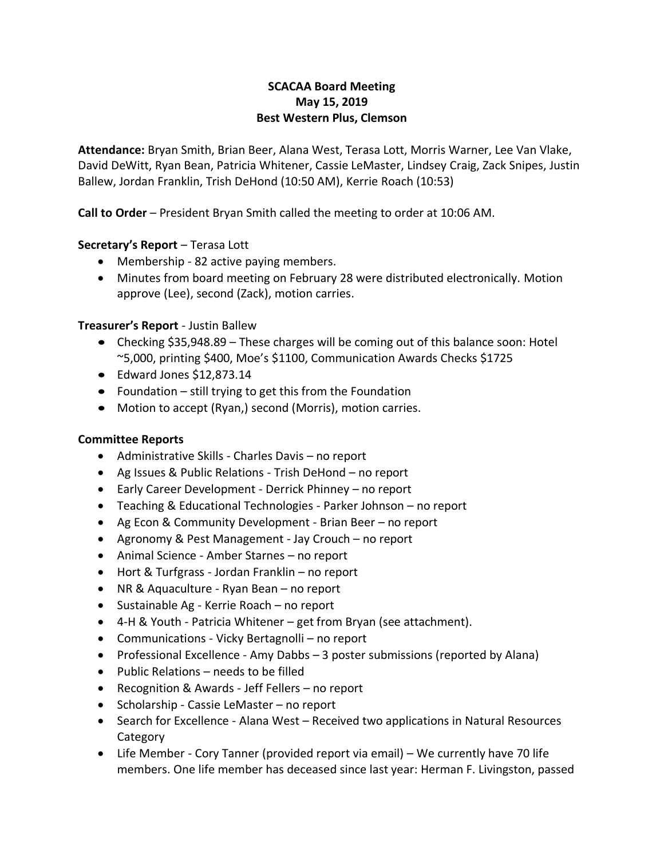## **SCACAA Board Meeting May 15, 2019 Best Western Plus, Clemson**

**Attendance:** Bryan Smith, Brian Beer, Alana West, Terasa Lott, Morris Warner, Lee Van Vlake, David DeWitt, Ryan Bean, Patricia Whitener, Cassie LeMaster, Lindsey Craig, Zack Snipes, Justin Ballew, Jordan Franklin, Trish DeHond (10:50 AM), Kerrie Roach (10:53)

**Call to Order** – President Bryan Smith called the meeting to order at 10:06 AM.

## **Secretary's Report** – Terasa Lott

- Membership 82 active paying members.
- Minutes from board meeting on February 28 were distributed electronically. Motion approve (Lee), second (Zack), motion carries.

## **Treasurer's Report** - Justin Ballew

- Checking \$35,948.89 These charges will be coming out of this balance soon: Hotel ~5,000, printing \$400, Moe's \$1100, Communication Awards Checks \$1725
- Edward Jones \$12,873.14
- Foundation still trying to get this from the Foundation
- Motion to accept (Ryan,) second (Morris), motion carries.

## **Committee Reports**

- Administrative Skills Charles Davis no report
- Ag Issues & Public Relations Trish DeHond no report
- Early Career Development Derrick Phinney no report
- Teaching & Educational Technologies Parker Johnson no report
- Ag Econ & Community Development Brian Beer no report
- Agronomy & Pest Management Jay Crouch no report
- Animal Science Amber Starnes no report
- Hort & Turfgrass Jordan Franklin no report
- NR & Aquaculture Ryan Bean no report
- Sustainable Ag Kerrie Roach no report
- 4-H & Youth Patricia Whitener get from Bryan (see attachment).
- Communications Vicky Bertagnolli no report
- Professional Excellence Amy Dabbs 3 poster submissions (reported by Alana)
- Public Relations needs to be filled
- Recognition & Awards Jeff Fellers no report
- Scholarship Cassie LeMaster no report
- Search for Excellence Alana West Received two applications in Natural Resources **Category**
- Life Member Cory Tanner (provided report via email) We currently have 70 life members. One life member has deceased since last year: Herman F. Livingston, passed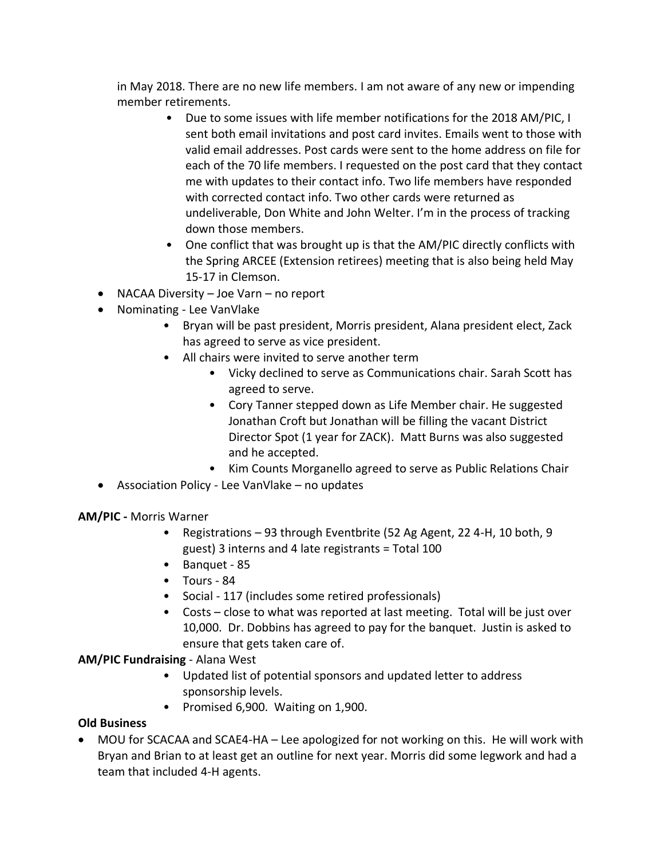in May 2018. There are no new life members. I am not aware of any new or impending member retirements.

- Due to some issues with life member notifications for the 2018 AM/PIC, I sent both email invitations and post card invites. Emails went to those with valid email addresses. Post cards were sent to the home address on file for each of the 70 life members. I requested on the post card that they contact me with updates to their contact info. Two life members have responded with corrected contact info. Two other cards were returned as undeliverable, Don White and John Welter. I'm in the process of tracking down those members.
- One conflict that was brought up is that the AM/PIC directly conflicts with the Spring ARCEE (Extension retirees) meeting that is also being held May 15-17 in Clemson.
- NACAA Diversity Joe Varn no report
- Nominating Lee VanVlake
	- Bryan will be past president, Morris president, Alana president elect, Zack has agreed to serve as vice president.
	- All chairs were invited to serve another term
		- Vicky declined to serve as Communications chair. Sarah Scott has agreed to serve.
		- Cory Tanner stepped down as Life Member chair. He suggested Jonathan Croft but Jonathan will be filling the vacant District Director Spot (1 year for ZACK). Matt Burns was also suggested and he accepted.
		- Kim Counts Morganello agreed to serve as Public Relations Chair
- Association Policy Lee VanVlake no updates

**AM/PIC -** Morris Warner

- Registrations 93 through Eventbrite (52 Ag Agent, 22 4-H, 10 both, 9 guest) 3 interns and 4 late registrants = Total 100
- Banquet 85
- Tours 84
- Social 117 (includes some retired professionals)
- Costs close to what was reported at last meeting. Total will be just over 10,000. Dr. Dobbins has agreed to pay for the banquet. Justin is asked to ensure that gets taken care of.

**AM/PIC Fundraising** - Alana West

- Updated list of potential sponsors and updated letter to address sponsorship levels.
- Promised 6,900. Waiting on 1,900.

# **Old Business**

• MOU for SCACAA and SCAE4-HA – Lee apologized for not working on this. He will work with Bryan and Brian to at least get an outline for next year. Morris did some legwork and had a team that included 4-H agents.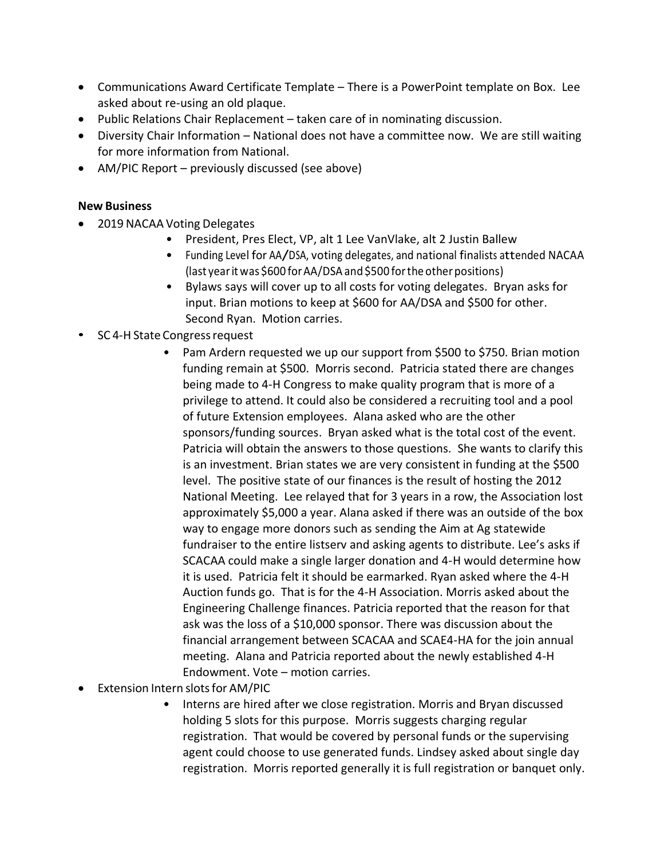- Communications Award Certificate Template There is a PowerPoint template on Box. Lee asked about re-using an old plaque.
- Public Relations Chair Replacement taken care of in nominating discussion.
- Diversity Chair Information National does not have a committee now. We are still waiting for more information from National.
- AM/PIC Report previously discussed (see above)

## **New Business**

- 2019 NACAA Voting Delegates
	- President, Pres Elect, VP, alt 1 Lee VanVlake, alt 2 Justin Ballew
	- Funding Level for AA/DSA, voting delegates, and national finalists attended NACAA (last yearitwas \$600 forAA/DSA and\$500 forthe other positions)
	- Bylaws says will cover up to all costs for voting delegates. Bryan asks for input. Brian motions to keep at \$600 for AA/DSA and \$500 for other. Second Ryan. Motion carries.
- SC 4-H State Congress request
	- Pam Ardern requested we up our support from \$500 to \$750. Brian motion funding remain at \$500. Morris second. Patricia stated there are changes being made to 4-H Congress to make quality program that is more of a privilege to attend. It could also be considered a recruiting tool and a pool of future Extension employees. Alana asked who are the other sponsors/funding sources. Bryan asked what is the total cost of the event. Patricia will obtain the answers to those questions. She wants to clarify this is an investment. Brian states we are very consistent in funding at the \$500 level. The positive state of our finances is the result of hosting the 2012 National Meeting. Lee relayed that for 3 years in a row, the Association lost approximately \$5,000 a year. Alana asked if there was an outside of the box way to engage more donors such as sending the Aim at Ag statewide fundraiser to the entire listserv and asking agents to distribute. Lee's asks if SCACAA could make a single larger donation and 4-H would determine how it is used. Patricia felt it should be earmarked. Ryan asked where the 4-H Auction funds go. That is for the 4-H Association. Morris asked about the Engineering Challenge finances. Patricia reported that the reason for that ask was the loss of a \$10,000 sponsor. There was discussion about the financial arrangement between SCACAA and SCAE4-HA for the join annual meeting. Alana and Patricia reported about the newly established 4-H Endowment. Vote – motion carries.
- Extension Intern slots for AM/PIC
	- Interns are hired after we close registration. Morris and Bryan discussed holding 5 slots for this purpose. Morris suggests charging regular registration. That would be covered by personal funds or the supervising agent could choose to use generated funds. Lindsey asked about single day registration. Morris reported generally it is full registration or banquet only.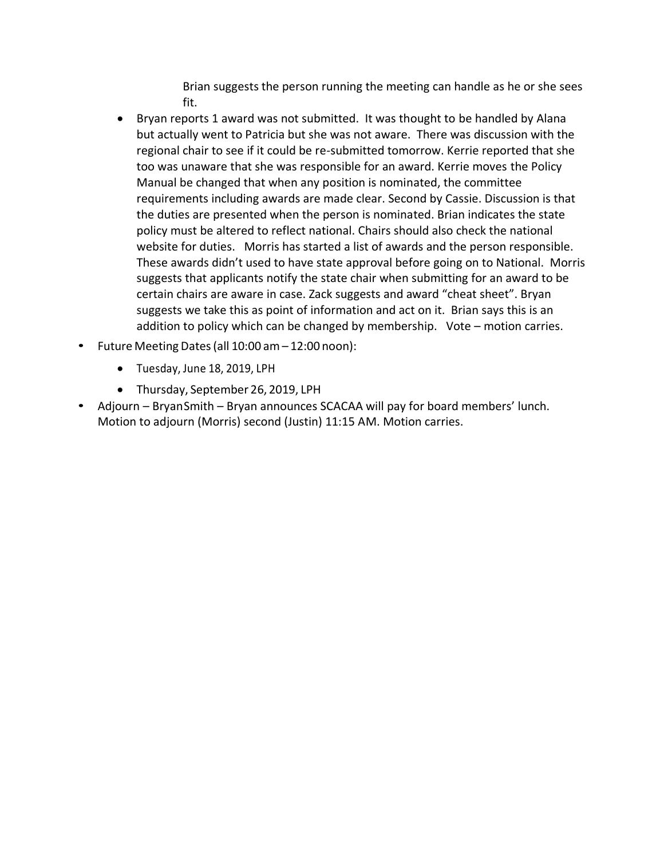Brian suggests the person running the meeting can handle as he or she sees fit.

- Bryan reports 1 award was not submitted. It was thought to be handled by Alana but actually went to Patricia but she was not aware. There was discussion with the regional chair to see if it could be re-submitted tomorrow. Kerrie reported that she too was unaware that she was responsible for an award. Kerrie moves the Policy Manual be changed that when any position is nominated, the committee requirements including awards are made clear. Second by Cassie. Discussion is that the duties are presented when the person is nominated. Brian indicates the state policy must be altered to reflect national. Chairs should also check the national website for duties. Morris has started a list of awards and the person responsible. These awards didn't used to have state approval before going on to National. Morris suggests that applicants notify the state chair when submitting for an award to be certain chairs are aware in case. Zack suggests and award "cheat sheet". Bryan suggests we take this as point of information and act on it. Brian says this is an addition to policy which can be changed by membership. Vote – motion carries.
- Future Meeting Dates(all 10:00 am– 12:00 noon):
	- Tuesday, June 18, 2019, LPH
	- Thursday, September 26, 2019, LPH
- Adjourn BryanSmith Bryan announces SCACAA will pay for board members' lunch. Motion to adjourn (Morris) second (Justin) 11:15 AM. Motion carries.